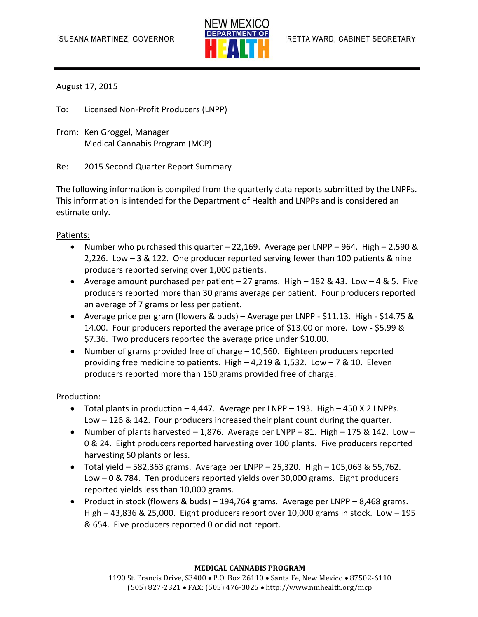

## August 17, 2015

To: Licensed Non-Profit Producers (LNPP)

From: Ken Groggel, Manager Medical Cannabis Program (MCP)

Re: 2015 Second Quarter Report Summary

The following information is compiled from the quarterly data reports submitted by the LNPPs. This information is intended for the Department of Health and LNPPs and is considered an estimate only.

### Patients:

- Number who purchased this quarter  $-22,169$ . Average per LNPP  $-964$ . High  $-2,590$  & 2,226. Low – 3 & 122. One producer reported serving fewer than 100 patients & nine producers reported serving over 1,000 patients.
- Average amount purchased per patient 27 grams. High 182 & 43. Low 4 & 5. Five producers reported more than 30 grams average per patient. Four producers reported an average of 7 grams or less per patient.
- Average price per gram (flowers & buds) Average per LNPP \$11.13. High \$14.75 & 14.00. Four producers reported the average price of \$13.00 or more. Low - \$5.99 & \$7.36. Two producers reported the average price under \$10.00.
- Number of grams provided free of charge 10,560. Eighteen producers reported providing free medicine to patients. High – 4,219 & 1,532. Low – 7 & 10. Eleven producers reported more than 150 grams provided free of charge.

#### Production:

- $\bullet$  Total plants in production  $-4,447$ . Average per LNPP  $-193$ . High  $-450$  X 2 LNPPs. Low – 126 & 142. Four producers increased their plant count during the quarter.
- Number of plants harvested  $-1,876$ . Average per LNPP  $-81$ . High  $-175$  & 142. Low  $-$ 0 & 24. Eight producers reported harvesting over 100 plants. Five producers reported harvesting 50 plants or less.
- $\bullet$  Total yield 582,363 grams. Average per LNPP 25,320. High 105,063 & 55,762. Low – 0 & 784. Ten producers reported yields over 30,000 grams. Eight producers reported yields less than 10,000 grams.
- Product in stock (flowers & buds) 194,764 grams. Average per LNPP 8,468 grams. High – 43,836 & 25,000. Eight producers report over 10,000 grams in stock. Low – 195 & 654. Five producers reported 0 or did not report.

#### **MEDICAL CANNABIS PROGRAM**